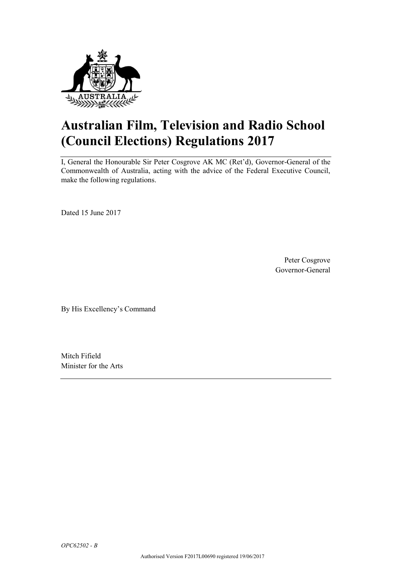

# **Australian Film, Television and Radio School (Council Elections) Regulations 2017**

I, General the Honourable Sir Peter Cosgrove AK MC (Ret'd), Governor-General of the Commonwealth of Australia, acting with the advice of the Federal Executive Council, make the following regulations.

Dated 15 June 2017

Peter Cosgrove Governor-General

By His Excellency's Command

Mitch Fifield Minister for the Arts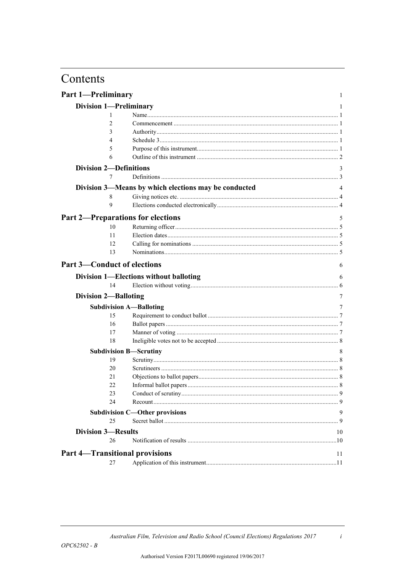# Contents

| <b>Part 1-Preliminary</b>                |                                                      | 1  |
|------------------------------------------|------------------------------------------------------|----|
| <b>Division 1-Preliminary</b>            |                                                      | 1  |
| 1                                        |                                                      |    |
| $\overline{c}$                           |                                                      |    |
| 3                                        |                                                      |    |
| 4                                        |                                                      |    |
| 5                                        |                                                      |    |
| 6                                        |                                                      |    |
| <b>Division 2-Definitions</b>            |                                                      | 3  |
| 7                                        |                                                      |    |
|                                          | Division 3—Means by which elections may be conducted | 4  |
| 8                                        |                                                      |    |
| $\mathbf Q$                              |                                                      |    |
| <b>Part 2-Preparations for elections</b> |                                                      |    |
|                                          |                                                      | 5  |
| 10                                       |                                                      |    |
| 11                                       |                                                      |    |
| 12                                       |                                                      |    |
| 13                                       |                                                      |    |
| <b>Part 3-Conduct of elections</b>       |                                                      | 6  |
|                                          | Division 1-Elections without balloting               | 6  |
| 14                                       |                                                      |    |
| <b>Division 2-Balloting</b>              |                                                      | 7  |
|                                          | <b>Subdivision A-Balloting</b>                       | 7  |
| 15                                       |                                                      |    |
| 16                                       |                                                      |    |
| 17                                       |                                                      |    |
| 18                                       |                                                      |    |
|                                          | <b>Subdivision B-Scrutiny</b>                        | 8  |
| 19                                       |                                                      |    |
| 20                                       |                                                      |    |
| 21                                       |                                                      |    |
| 22                                       |                                                      |    |
| 23                                       |                                                      |    |
| 24                                       |                                                      |    |
|                                          | <b>Subdivision C-Other provisions</b>                | 9  |
| 25                                       |                                                      |    |
| <b>Division 3-Results</b>                |                                                      | 10 |
| 26                                       |                                                      |    |
| <b>Part 4-Transitional provisions</b>    |                                                      | 11 |
| 27                                       |                                                      |    |
|                                          |                                                      |    |

 $\boldsymbol{i}$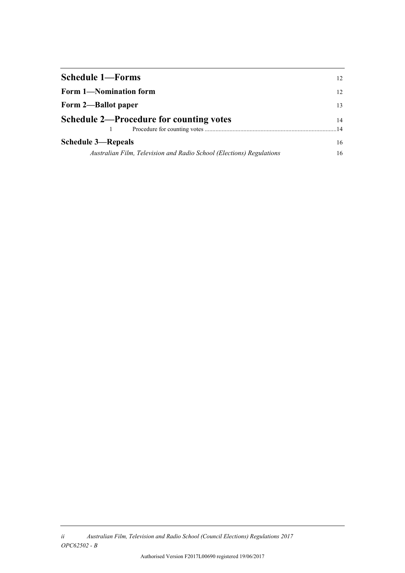| <b>Schedule 1-Forms</b>                                              |    |  |  |  |  |  |
|----------------------------------------------------------------------|----|--|--|--|--|--|
| Form 1-Nomination form                                               |    |  |  |  |  |  |
| Form 2—Ballot paper                                                  |    |  |  |  |  |  |
| <b>Schedule 2—Procedure for counting votes</b>                       |    |  |  |  |  |  |
|                                                                      | 14 |  |  |  |  |  |
| <b>Schedule 3—Repeals</b>                                            |    |  |  |  |  |  |
| Australian Film, Television and Radio School (Elections) Regulations |    |  |  |  |  |  |

*ii Australian Film, Television and Radio School (Council Elections) Regulations 2017 OPC62502 - B*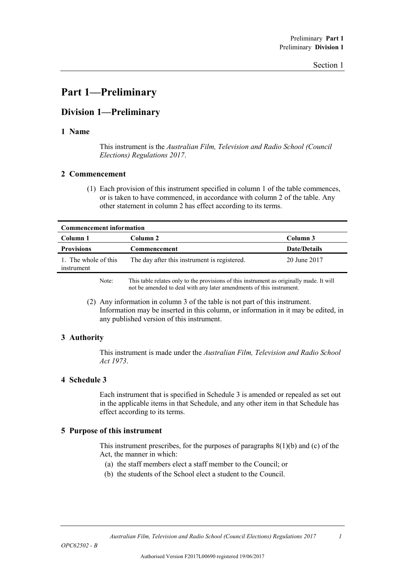## **Part 1—Preliminary**

## **Division 1—Preliminary**

#### **1 Name**

This instrument is the *Australian Film, Television and Radio School (Council Elections) Regulations 2017*.

#### **2 Commencement**

(1) Each provision of this instrument specified in column 1 of the table commences, or is taken to have commenced, in accordance with column 2 of the table. Any other statement in column 2 has effect according to its terms.

| <b>Commencement information</b>    |                                                                                          |                     |  |  |  |  |  |  |  |  |  |
|------------------------------------|------------------------------------------------------------------------------------------|---------------------|--|--|--|--|--|--|--|--|--|
| Column 1                           | Column 2                                                                                 | Column 3            |  |  |  |  |  |  |  |  |  |
| <b>Provisions</b>                  | Commencement                                                                             | <b>Date/Details</b> |  |  |  |  |  |  |  |  |  |
| 1. The whole of this<br>instrument | The day after this instrument is registered.                                             | 20 June 2017        |  |  |  |  |  |  |  |  |  |
| Note:                              | This table relates only to the provisions of this instrument as originally made. It will |                     |  |  |  |  |  |  |  |  |  |

not be amended to deal with any later amendments of this instrument.

(2) Any information in column 3 of the table is not part of this instrument. Information may be inserted in this column, or information in it may be edited, in any published version of this instrument.

## **3 Authority**

This instrument is made under the *Australian Film, Television and Radio School Act 1973*.

### **4 Schedule 3**

Each instrument that is specified in Schedule 3 is amended or repealed as set out in the applicable items in that Schedule, and any other item in that Schedule has effect according to its terms.

### **5 Purpose of this instrument**

This instrument prescribes, for the purposes of paragraphs  $8(1)(b)$  and (c) of the Act, the manner in which:

- (a) the staff members elect a staff member to the Council; or
- (b) the students of the School elect a student to the Council.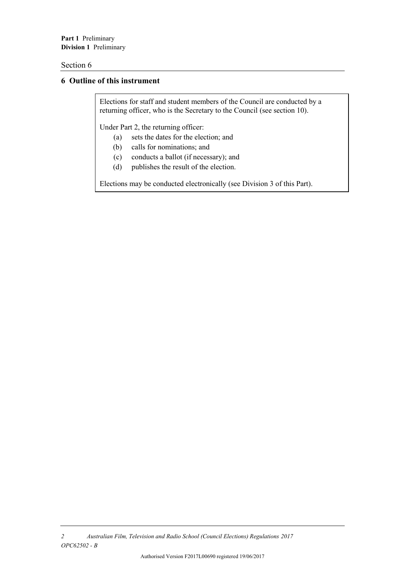**Part 1** Preliminary **Division 1** Preliminary

#### Section 6

## **6 Outline of this instrument**

Elections for staff and student members of the Council are conducted by a returning officer, who is the Secretary to the Council (see section 10).

Under Part 2, the returning officer:

- (a) sets the dates for the election; and
- (b) calls for nominations; and
- (c) conducts a ballot (if necessary); and
- (d) publishes the result of the election.

Elections may be conducted electronically (see Division 3 of this Part).

*<sup>2</sup> Australian Film, Television and Radio School (Council Elections) Regulations 2017 OPC62502 - B*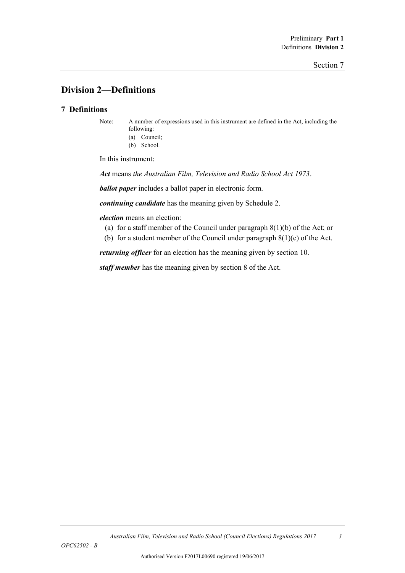## **Division 2—Definitions**

### **7 Definitions**

Note: A number of expressions used in this instrument are defined in the Act, including the following:

(a) Council; (b) School.

In this instrument:

*Act* means *the Australian Film, Television and Radio School Act 1973*.

*ballot paper* includes a ballot paper in electronic form.

*continuing candidate* has the meaning given by Schedule 2.

*election* means an election:

- (a) for a staff member of the Council under paragraph 8(1)(b) of the Act; or
- (b) for a student member of the Council under paragraph  $8(1)(c)$  of the Act.

*returning officer* for an election has the meaning given by section 10.

*staff member* has the meaning given by section 8 of the Act.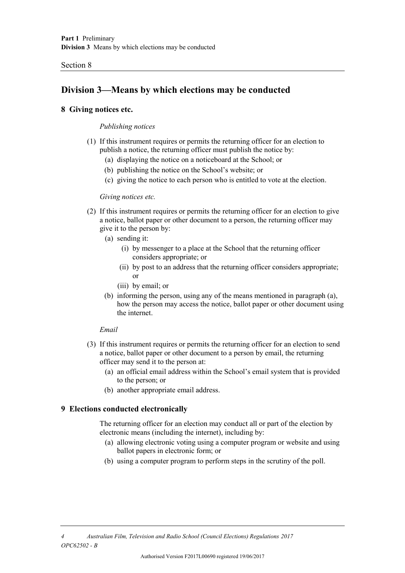#### Section 8

## **Division 3—Means by which elections may be conducted**

#### **8 Giving notices etc.**

#### *Publishing notices*

- (1) If this instrument requires or permits the returning officer for an election to publish a notice, the returning officer must publish the notice by:
	- (a) displaying the notice on a noticeboard at the School; or
	- (b) publishing the notice on the School's website; or
	- (c) giving the notice to each person who is entitled to vote at the election.

#### *Giving notices etc.*

- (2) If this instrument requires or permits the returning officer for an election to give a notice, ballot paper or other document to a person, the returning officer may give it to the person by:
	- (a) sending it:
		- (i) by messenger to a place at the School that the returning officer considers appropriate; or
		- (ii) by post to an address that the returning officer considers appropriate; or
		- (iii) by email; or
	- (b) informing the person, using any of the means mentioned in paragraph (a), how the person may access the notice, ballot paper or other document using the internet.

#### *Email*

- (3) If this instrument requires or permits the returning officer for an election to send a notice, ballot paper or other document to a person by email, the returning officer may send it to the person at:
	- (a) an official email address within the School's email system that is provided to the person; or
	- (b) another appropriate email address.

### **9 Elections conducted electronically**

The returning officer for an election may conduct all or part of the election by electronic means (including the internet), including by:

- (a) allowing electronic voting using a computer program or website and using ballot papers in electronic form; or
- (b) using a computer program to perform steps in the scrutiny of the poll.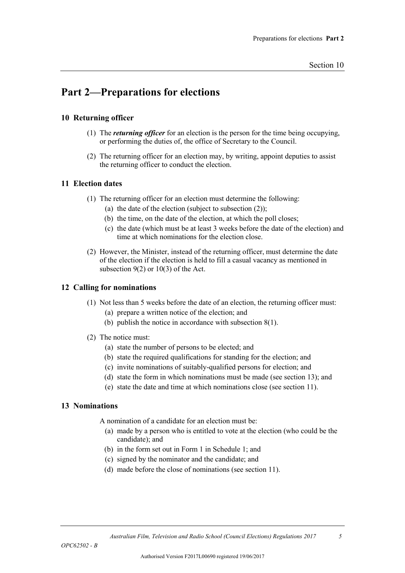## **Part 2—Preparations for elections**

## **10 Returning officer**

- (1) The *returning officer* for an election is the person for the time being occupying, or performing the duties of, the office of Secretary to the Council.
- (2) The returning officer for an election may, by writing, appoint deputies to assist the returning officer to conduct the election.

## **11 Election dates**

- (1) The returning officer for an election must determine the following:
	- (a) the date of the election (subject to subsection  $(2)$ );
	- (b) the time, on the date of the election, at which the poll closes;
	- (c) the date (which must be at least 3 weeks before the date of the election) and time at which nominations for the election close.
- (2) However, the Minister, instead of the returning officer, must determine the date of the election if the election is held to fill a casual vacancy as mentioned in subsection  $9(2)$  or  $10(3)$  of the Act.

### **12 Calling for nominations**

- (1) Not less than 5 weeks before the date of an election, the returning officer must:
	- (a) prepare a written notice of the election; and
	- (b) publish the notice in accordance with subsection 8(1).
- (2) The notice must:
	- (a) state the number of persons to be elected; and
	- (b) state the required qualifications for standing for the election; and
	- (c) invite nominations of suitably-qualified persons for election; and
	- (d) state the form in which nominations must be made (see section 13); and
	- (e) state the date and time at which nominations close (see section 11).

### **13 Nominations**

A nomination of a candidate for an election must be:

- (a) made by a person who is entitled to vote at the election (who could be the candidate); and
- (b) in the form set out in Form 1 in Schedule 1; and
- (c) signed by the nominator and the candidate; and
- (d) made before the close of nominations (see section 11).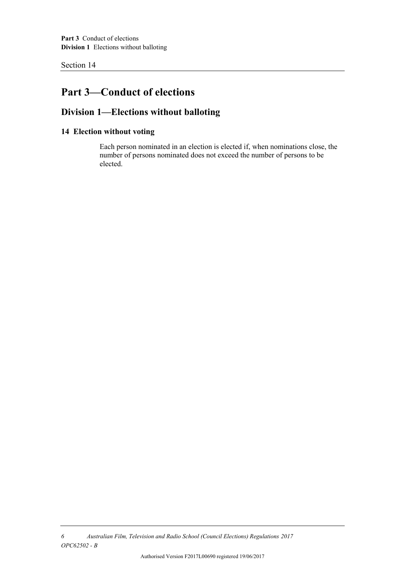Section 14

## **Part 3—Conduct of elections**

## **Division 1—Elections without balloting**

## **14 Election without voting**

Each person nominated in an election is elected if, when nominations close, the number of persons nominated does not exceed the number of persons to be elected.

*6 Australian Film, Television and Radio School (Council Elections) Regulations 2017 OPC62502 - B*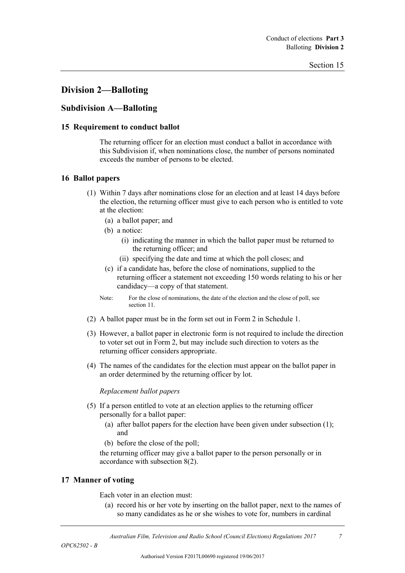## **Division 2—Balloting**

## **Subdivision A—Balloting**

#### **15 Requirement to conduct ballot**

The returning officer for an election must conduct a ballot in accordance with this Subdivision if, when nominations close, the number of persons nominated exceeds the number of persons to be elected.

### **16 Ballot papers**

- (1) Within 7 days after nominations close for an election and at least 14 days before the election, the returning officer must give to each person who is entitled to vote at the election:
	- (a) a ballot paper; and
	- (b) a notice:
		- (i) indicating the manner in which the ballot paper must be returned to the returning officer; and
		- (ii) specifying the date and time at which the poll closes; and
	- (c) if a candidate has, before the close of nominations, supplied to the returning officer a statement not exceeding 150 words relating to his or her candidacy—a copy of that statement.
	- Note: For the close of nominations, the date of the election and the close of poll, see section 11.
- (2) A ballot paper must be in the form set out in Form 2 in Schedule 1.
- (3) However, a ballot paper in electronic form is not required to include the direction to voter set out in Form 2, but may include such direction to voters as the returning officer considers appropriate.
- (4) The names of the candidates for the election must appear on the ballot paper in an order determined by the returning officer by lot.

#### *Replacement ballot papers*

- (5) If a person entitled to vote at an election applies to the returning officer personally for a ballot paper:
	- (a) after ballot papers for the election have been given under subsection (1); and
	- (b) before the close of the poll;

the returning officer may give a ballot paper to the person personally or in accordance with subsection 8(2).

### **17 Manner of voting**

Each voter in an election must:

(a) record his or her vote by inserting on the ballot paper, next to the names of so many candidates as he or she wishes to vote for, numbers in cardinal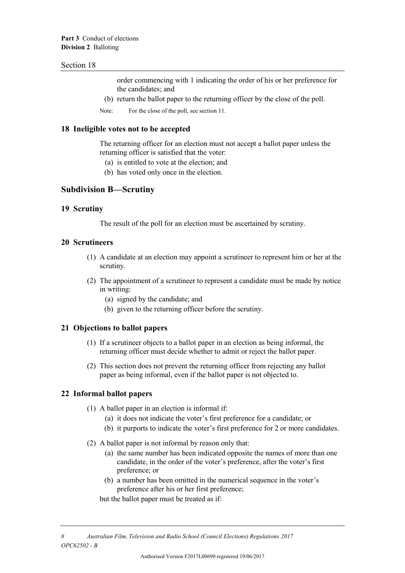#### Section 18

order commencing with 1 indicating the order of his or her preference for the candidates; and

- (b) return the ballot paper to the returning officer by the close of the poll.
- Note: For the close of the poll, see section 11.

#### **18 Ineligible votes not to be accepted**

The returning officer for an election must not accept a ballot paper unless the returning officer is satisfied that the voter:

- (a) is entitled to vote at the election; and
- (b) has voted only once in the election.

## **Subdivision B—Scrutiny**

#### **19 Scrutiny**

The result of the poll for an election must be ascertained by scrutiny.

#### **20 Scrutineers**

- (1) A candidate at an election may appoint a scrutineer to represent him or her at the scrutiny.
- (2) The appointment of a scrutineer to represent a candidate must be made by notice in writing:
	- (a) signed by the candidate; and
	- (b) given to the returning officer before the scrutiny.

#### **21 Objections to ballot papers**

- (1) If a scrutineer objects to a ballot paper in an election as being informal, the returning officer must decide whether to admit or reject the ballot paper.
- (2) This section does not prevent the returning officer from rejecting any ballot paper as being informal, even if the ballot paper is not objected to.

#### **22 Informal ballot papers**

- (1) A ballot paper in an election is informal if:
	- (a) it does not indicate the voter's first preference for a candidate; or
	- (b) it purports to indicate the voter's first preference for 2 or more candidates.
- (2) A ballot paper is not informal by reason only that:
	- (a) the same number has been indicated opposite the names of more than one candidate, in the order of the voter's preference, after the voter's first preference; or
	- (b) a number has been omitted in the numerical sequence in the voter's preference after his or her first preference;

but the ballot paper must be treated as if: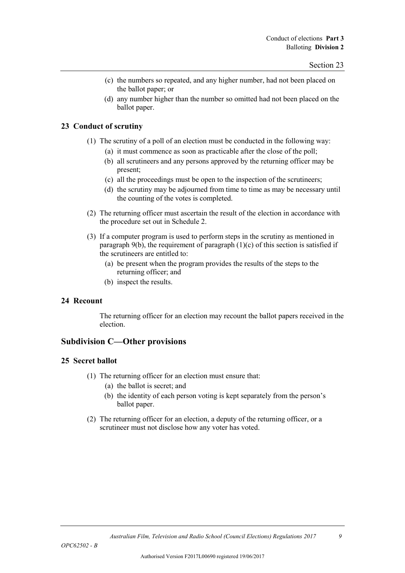- (c) the numbers so repeated, and any higher number, had not been placed on the ballot paper; or
- (d) any number higher than the number so omitted had not been placed on the ballot paper.

### **23 Conduct of scrutiny**

- (1) The scrutiny of a poll of an election must be conducted in the following way:
	- (a) it must commence as soon as practicable after the close of the poll;
	- (b) all scrutineers and any persons approved by the returning officer may be present;
	- (c) all the proceedings must be open to the inspection of the scrutineers;
	- (d) the scrutiny may be adjourned from time to time as may be necessary until the counting of the votes is completed.
- (2) The returning officer must ascertain the result of the election in accordance with the procedure set out in Schedule 2.
- (3) If a computer program is used to perform steps in the scrutiny as mentioned in paragraph 9(b), the requirement of paragraph  $(1)(c)$  of this section is satisfied if the scrutineers are entitled to:
	- (a) be present when the program provides the results of the steps to the returning officer; and
	- (b) inspect the results.

### **24 Recount**

The returning officer for an election may recount the ballot papers received in the election.

## **Subdivision C—Other provisions**

### **25 Secret ballot**

- (1) The returning officer for an election must ensure that:
	- (a) the ballot is secret; and
	- (b) the identity of each person voting is kept separately from the person's ballot paper.
- (2) The returning officer for an election, a deputy of the returning officer, or a scrutineer must not disclose how any voter has voted.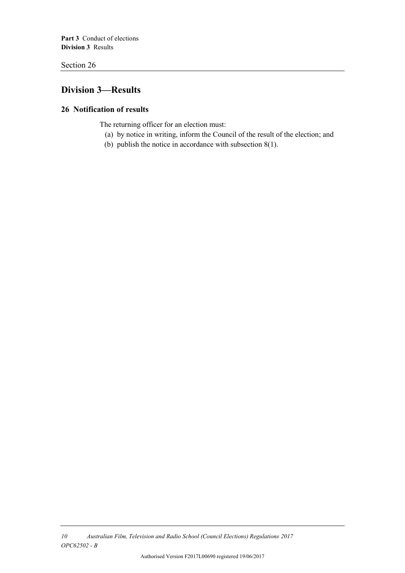**Part 3** Conduct of elections **Division 3** Results

Section 26

## **Division 3—Results**

## **26 Notification of results**

The returning officer for an election must:

- (a) by notice in writing, inform the Council of the result of the election; and
- (b) publish the notice in accordance with subsection 8(1).

*<sup>10</sup> Australian Film, Television and Radio School (Council Elections) Regulations 2017 OPC62502 - B*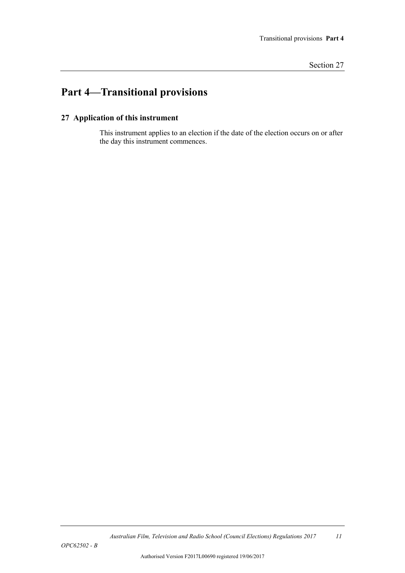# **Part 4—Transitional provisions**

## **27 Application of this instrument**

This instrument applies to an election if the date of the election occurs on or after the day this instrument commences.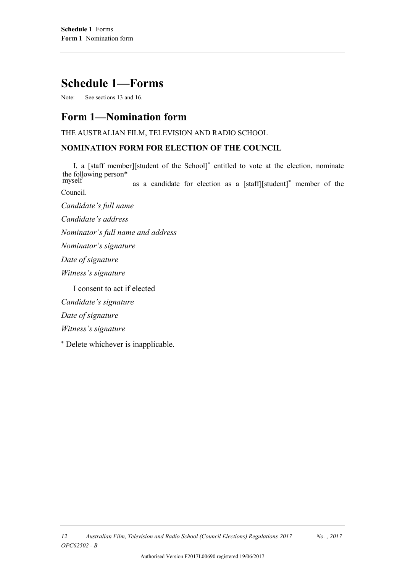# **Schedule 1—Forms**

Note: See sections 13 and 16.

## **Form 1—Nomination form**

THE AUSTRALIAN FILM, TELEVISION AND RADIO SCHOOL

## **NOMINATION FORM FOR ELECTION OF THE COUNCIL**

I, a [staff member][student of the School] \* entitled to vote at the election, nominate the following person\*

as a candidate for election as a [staff][student]\* member of the Council. myself

*Candidate's full name*

*Candidate's address*

*Nominator's full name and address*

*Nominator's signature*

*Date of signature*

*Witness's signature*

I consent to act if elected

*Candidate's signature*

*Date of signature*

*Witness's signature*

\* Delete whichever is inapplicable.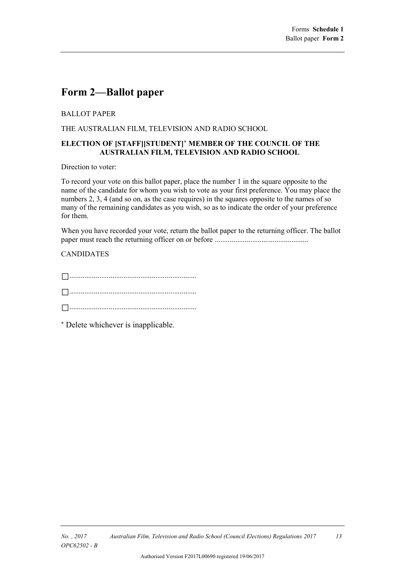## **Form 2—Ballot paper**

## BALLOT PAPER

THE AUSTRALIAN FILM, TELEVISION AND RADIO SCHOOL

#### **ELECTION OF [STAFF][STUDENT]\* MEMBER OF THE COUNCIL OF THE AUSTRALIAN FILM, TELEVISION AND RADIO SCHOOL**

Direction to voter:

To record your vote on this ballot paper, place the number 1 in the square opposite to the name of the candidate for whom you wish to vote as your first preference. You may place the numbers 2, 3, 4 (and so on, as the case requires) in the squares opposite to the names of so many of the remaining candidates as you wish, so as to indicate the order of your preference for them.

When you have recorded your vote, return the ballot paper to the returning officer. The ballot paper must reach the returning officer on or before ..................................................

## CANDIDATES

\* Delete whichever is inapplicable.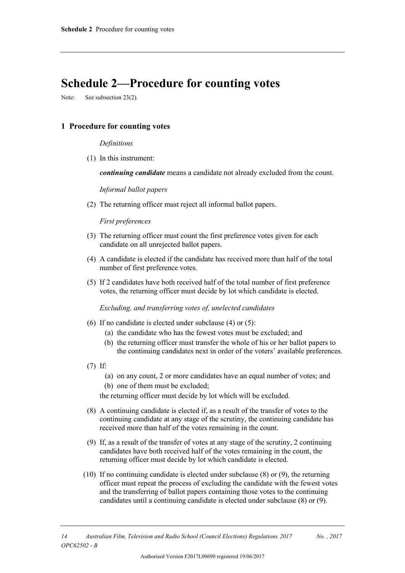# **Schedule 2—Procedure for counting votes**

Note: See subsection 23(2).

#### **1 Procedure for counting votes**

#### *Definitions*

(1) In this instrument:

*continuing candidate* means a candidate not already excluded from the count.

#### *Informal ballot papers*

(2) The returning officer must reject all informal ballot papers.

#### *First preferences*

- (3) The returning officer must count the first preference votes given for each candidate on all unrejected ballot papers.
- (4) A candidate is elected if the candidate has received more than half of the total number of first preference votes.
- (5) If 2 candidates have both received half of the total number of first preference votes, the returning officer must decide by lot which candidate is elected.

*Excluding, and transferring votes of, unelected candidates*

- (6) If no candidate is elected under subclause (4) or (5):
	- (a) the candidate who has the fewest votes must be excluded; and
	- (b) the returning officer must transfer the whole of his or her ballot papers to the continuing candidates next in order of the voters' available preferences.
- (7) If:
	- (a) on any count, 2 or more candidates have an equal number of votes; and
	- (b) one of them must be excluded;

the returning officer must decide by lot which will be excluded.

- (8) A continuing candidate is elected if, as a result of the transfer of votes to the continuing candidate at any stage of the scrutiny, the continuing candidate has received more than half of the votes remaining in the count.
- (9) If, as a result of the transfer of votes at any stage of the scrutiny, 2 continuing candidates have both received half of the votes remaining in the count, the returning officer must decide by lot which candidate is elected.
- (10) If no continuing candidate is elected under subclause (8) or (9), the returning officer must repeat the process of excluding the candidate with the fewest votes and the transferring of ballot papers containing those votes to the continuing candidates until a continuing candidate is elected under subclause (8) or (9).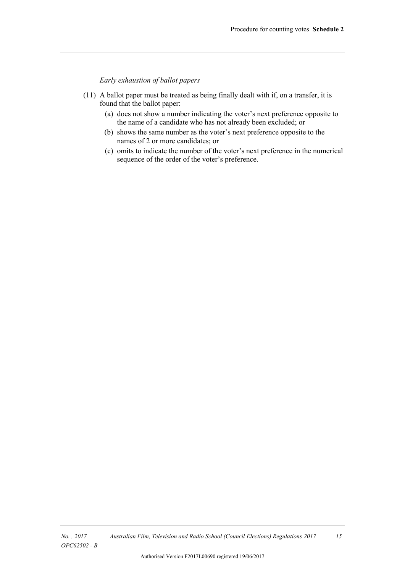*Early exhaustion of ballot papers*

- (11) A ballot paper must be treated as being finally dealt with if, on a transfer, it is found that the ballot paper:
	- (a) does not show a number indicating the voter's next preference opposite to the name of a candidate who has not already been excluded; or
	- (b) shows the same number as the voter's next preference opposite to the names of 2 or more candidates; or
	- (c) omits to indicate the number of the voter's next preference in the numerical sequence of the order of the voter's preference.